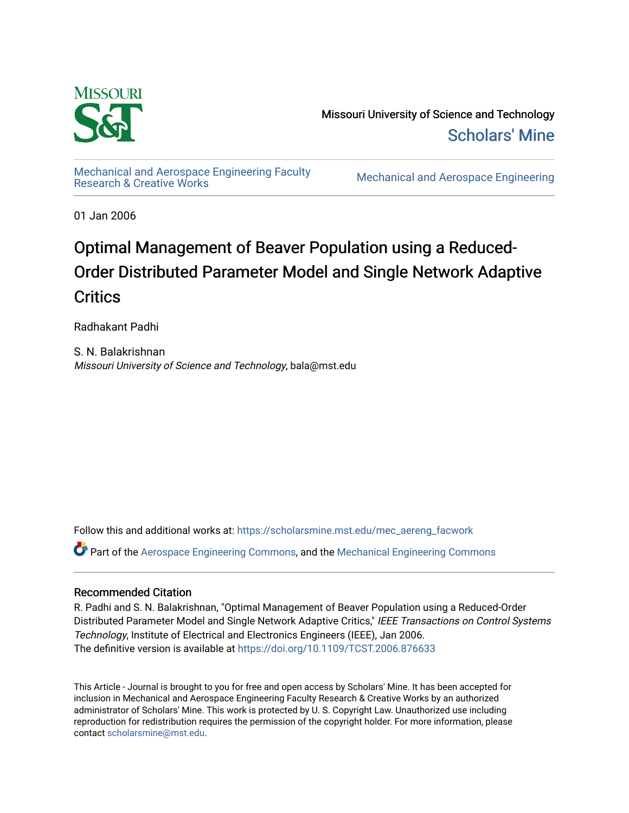

Missouri University of Science and Technology [Scholars' Mine](https://scholarsmine.mst.edu/) 

[Mechanical and Aerospace Engineering Faculty](https://scholarsmine.mst.edu/mec_aereng_facwork) 

**Mechanical and Aerospace Engineering** 

01 Jan 2006

# Optimal Management of Beaver Population using a Reduced-Order Distributed Parameter Model and Single Network Adaptive **Critics**

Radhakant Padhi

S. N. Balakrishnan Missouri University of Science and Technology, bala@mst.edu

Follow this and additional works at: [https://scholarsmine.mst.edu/mec\\_aereng\\_facwork](https://scholarsmine.mst.edu/mec_aereng_facwork?utm_source=scholarsmine.mst.edu%2Fmec_aereng_facwork%2F3458&utm_medium=PDF&utm_campaign=PDFCoverPages) 

Part of the [Aerospace Engineering Commons](http://network.bepress.com/hgg/discipline/218?utm_source=scholarsmine.mst.edu%2Fmec_aereng_facwork%2F3458&utm_medium=PDF&utm_campaign=PDFCoverPages), and the [Mechanical Engineering Commons](http://network.bepress.com/hgg/discipline/293?utm_source=scholarsmine.mst.edu%2Fmec_aereng_facwork%2F3458&utm_medium=PDF&utm_campaign=PDFCoverPages) 

# Recommended Citation

R. Padhi and S. N. Balakrishnan, "Optimal Management of Beaver Population using a Reduced-Order Distributed Parameter Model and Single Network Adaptive Critics," IEEE Transactions on Control Systems Technology, Institute of Electrical and Electronics Engineers (IEEE), Jan 2006. The definitive version is available at <https://doi.org/10.1109/TCST.2006.876633>

This Article - Journal is brought to you for free and open access by Scholars' Mine. It has been accepted for inclusion in Mechanical and Aerospace Engineering Faculty Research & Creative Works by an authorized administrator of Scholars' Mine. This work is protected by U. S. Copyright Law. Unauthorized use including reproduction for redistribution requires the permission of the copyright holder. For more information, please contact [scholarsmine@mst.edu](mailto:scholarsmine@mst.edu).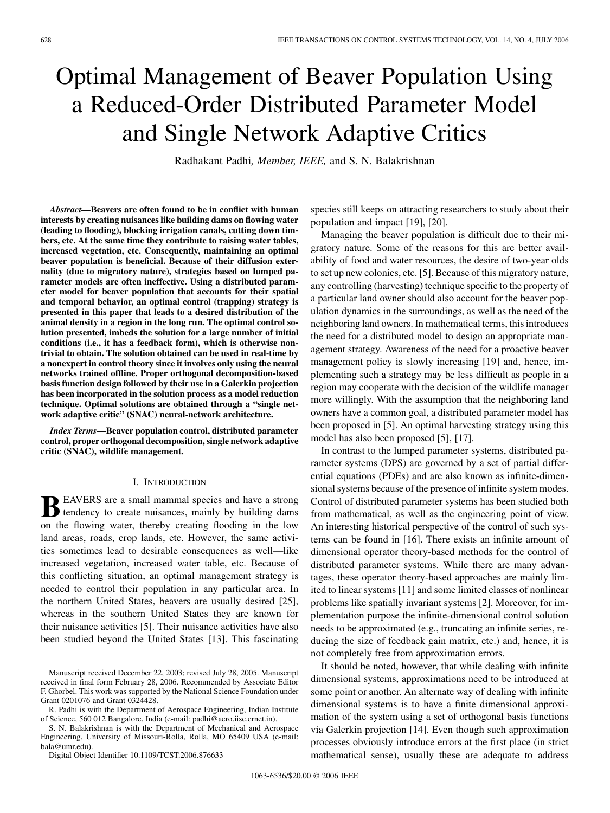# Optimal Management of Beaver Population Using a Reduced-Order Distributed Parameter Model and Single Network Adaptive Critics

Radhakant Padhi*, Member, IEEE,* and S. N. Balakrishnan

*Abstract—***Beavers are often found to be in conflict with human interests by creating nuisances like building dams on flowing water (leading to flooding), blocking irrigation canals, cutting down timbers, etc. At the same time they contribute to raising water tables, increased vegetation, etc. Consequently, maintaining an optimal beaver population is beneficial. Because of their diffusion externality (due to migratory nature), strategies based on lumped parameter models are often ineffective. Using a distributed parameter model for beaver population that accounts for their spatial and temporal behavior, an optimal control (trapping) strategy is presented in this paper that leads to a desired distribution of the animal density in a region in the long run. The optimal control solution presented, imbeds the solution for a large number of initial conditions (i.e., it has a feedback form), which is otherwise nontrivial to obtain. The solution obtained can be used in real-time by a nonexpert in control theory since it involves only using the neural networks trained offline. Proper orthogonal decomposition-based basis function design followed by their use in a Galerkin projection has been incorporated in the solution process as a model reduction technique. Optimal solutions are obtained through a "single network adaptive critic" (SNAC) neural-network architecture.**

*Index Terms—***Beaver population control, distributed parameter control, proper orthogonal decomposition, single network adaptive critic (SNAC), wildlife management.**

#### I. INTRODUCTION

**B**EAVERS are a small mammal species and have a strong tendency to create nuisances, mainly by building dams on the flowing water, thereby creating flooding in the low land areas, roads, crop lands, etc. However, the same activities sometimes lead to desirable consequences as well—like increased vegetation, increased water table, etc. Because of this conflicting situation, an optimal management strategy is needed to control their population in any particular area. In the northern United States, beavers are usually desired [[25\]](#page-12-0), whereas in the southern United States they are known for their nuisance activities [[5\]](#page-12-0). Their nuisance activities have also been studied beyond the United States [[13\]](#page-12-0). This fascinating

S. N. Balakrishnan is with the Department of Mechanical and Aerospace Engineering, University of Missouri-Rolla, Rolla, MO 65409 USA (e-mail: bala@umr.edu).

Digital Object Identifier 10.1109/TCST.2006.876633

species still keeps on attracting researchers to study about their population and impact [\[19](#page-12-0)], [\[20](#page-12-0)].

Managing the beaver population is difficult due to their migratory nature. Some of the reasons for this are better availability of food and water resources, the desire of two-year olds to set up new colonies, etc. [\[5](#page-12-0)]. Because of this migratory nature, any controlling (harvesting) technique specific to the property of a particular land owner should also account for the beaver population dynamics in the surroundings, as well as the need of the neighboring land owners. In mathematical terms, this introduces the need for a distributed model to design an appropriate management strategy. Awareness of the need for a proactive beaver management policy is slowly increasing [\[19](#page-12-0)] and, hence, implementing such a strategy may be less difficult as people in a region may cooperate with the decision of the wildlife manager more willingly. With the assumption that the neighboring land owners have a common goal, a distributed parameter model has been proposed in [[5](#page-12-0)]. An optimal harvesting strategy using this model has also been proposed [\[5](#page-12-0)], [[17\]](#page-12-0).

In contrast to the lumped parameter systems, distributed parameter systems (DPS) are governed by a set of partial differential equations (PDEs) and are also known as infinite-dimensional systems because of the presence of infinite system modes. Control of distributed parameter systems has been studied both from mathematical, as well as the engineering point of view. An interesting historical perspective of the control of such systems can be found in [[16\]](#page-12-0). There exists an infinite amount of dimensional operator theory-based methods for the control of distributed parameter systems. While there are many advantages, these operator theory-based approaches are mainly limited to linear systems [[11\]](#page-12-0) and some limited classes of nonlinear problems like spatially invariant systems [\[2](#page-12-0)]. Moreover, for implementation purpose the infinite-dimensional control solution needs to be approximated (e.g., truncating an infinite series, reducing the size of feedback gain matrix, etc.) and, hence, it is not completely free from approximation errors.

It should be noted, however, that while dealing with infinite dimensional systems, approximations need to be introduced at some point or another. An alternate way of dealing with infinite dimensional systems is to have a finite dimensional approximation of the system using a set of orthogonal basis functions via Galerkin projection [\[14\]](#page-12-0). Even though such approximation processes obviously introduce errors at the first place (in strict mathematical sense), usually these are adequate to address

Manuscript received December 22, 2003; revised July 28, 2005. Manuscript received in final form February 28, 2006. Recommended by Associate Editor F. Ghorbel. This work was supported by the National Science Foundation under Grant 0201076 and Grant 0324428.

R. Padhi is with the Department of Aerospace Engineering, Indian Institute of Science, 560 012 Bangalore, India (e-mail: padhi@aero.iisc.ernet.in).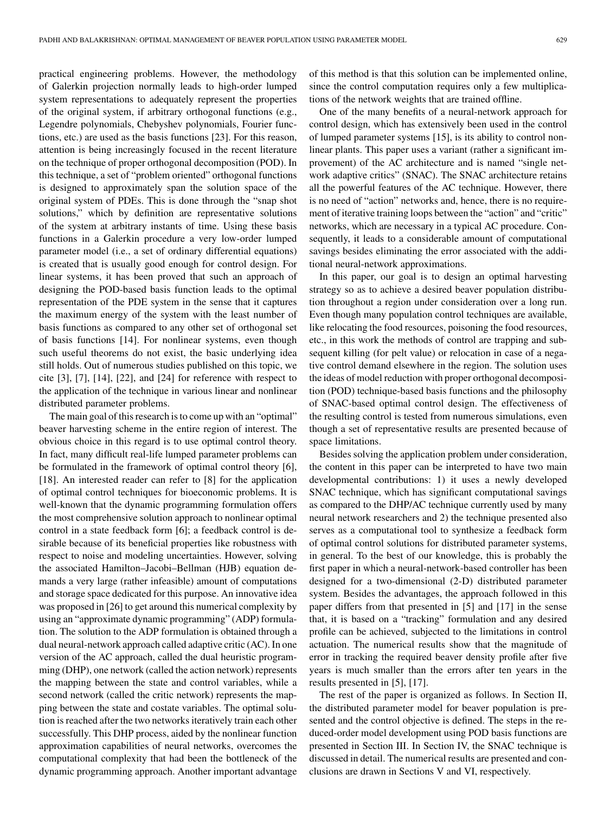practical engineering problems. However, the methodology of Galerkin projection normally leads to high-order lumped system representations to adequately represent the properties of the original system, if arbitrary orthogonal functions (e.g., Legendre polynomials, Chebyshev polynomials, Fourier functions, etc.) are used as the basis functions [\[23](#page-12-0)]. For this reason, attention is being increasingly focused in the recent literature on the technique of proper orthogonal decomposition (POD). In this technique, a set of "problem oriented" orthogonal functions is designed to approximately span the solution space of the original system of PDEs. This is done through the "snap shot solutions," which by definition are representative solutions of the system at arbitrary instants of time. Using these basis functions in a Galerkin procedure a very low-order lumped parameter model (i.e., a set of ordinary differential equations) is created that is usually good enough for control design. For linear systems, it has been proved that such an approach of designing the POD-based basis function leads to the optimal representation of the PDE system in the sense that it captures the maximum energy of the system with the least number of basis functions as compared to any other set of orthogonal set of basis functions [[14\]](#page-12-0). For nonlinear systems, even though such useful theorems do not exist, the basic underlying idea still holds. Out of numerous studies published on this topic, we cite [\[3](#page-12-0)], [[7\]](#page-12-0), [\[14](#page-12-0)], [[22\]](#page-12-0), and [[24\]](#page-12-0) for reference with respect to the application of the technique in various linear and nonlinear distributed parameter problems.

The main goal of this research is to come up with an "optimal" beaver harvesting scheme in the entire region of interest. The obvious choice in this regard is to use optimal control theory. In fact, many difficult real-life lumped parameter problems can be formulated in the framework of optimal control theory [\[6](#page-12-0)], [\[18](#page-12-0)]. An interested reader can refer to [[8\]](#page-12-0) for the application of optimal control techniques for bioeconomic problems. It is well-known that the dynamic programming formulation offers the most comprehensive solution approach to nonlinear optimal control in a state feedback form [\[6](#page-12-0)]; a feedback control is desirable because of its beneficial properties like robustness with respect to noise and modeling uncertainties. However, solving the associated Hamilton–Jacobi–Bellman (HJB) equation demands a very large (rather infeasible) amount of computations and storage space dedicated for this purpose. An innovative idea was proposed in [[26\]](#page-12-0) to get around this numerical complexity by using an "approximate dynamic programming" (ADP) formulation. The solution to the ADP formulation is obtained through a dual neural-network approach called adaptive critic (AC). In one version of the AC approach, called the dual heuristic programming (DHP), one network (called the action network) represents the mapping between the state and control variables, while a second network (called the critic network) represents the mapping between the state and costate variables. The optimal solution is reached after the two networks iteratively train each other successfully. This DHP process, aided by the nonlinear function approximation capabilities of neural networks, overcomes the computational complexity that had been the bottleneck of the dynamic programming approach. Another important advantage

of this method is that this solution can be implemented online, since the control computation requires only a few multiplications of the network weights that are trained offline.

One of the many benefits of a neural-network approach for control design, which has extensively been used in the control of lumped parameter systems [[15\]](#page-12-0), is its ability to control nonlinear plants. This paper uses a variant (rather a significant improvement) of the AC architecture and is named "single network adaptive critics" (SNAC). The SNAC architecture retains all the powerful features of the AC technique. However, there is no need of "action" networks and, hence, there is no requirement of iterative training loops between the "action" and "critic" networks, which are necessary in a typical AC procedure. Consequently, it leads to a considerable amount of computational savings besides eliminating the error associated with the additional neural-network approximations.

In this paper, our goal is to design an optimal harvesting strategy so as to achieve a desired beaver population distribution throughout a region under consideration over a long run. Even though many population control techniques are available, like relocating the food resources, poisoning the food resources, etc., in this work the methods of control are trapping and subsequent killing (for pelt value) or relocation in case of a negative control demand elsewhere in the region. The solution uses the ideas of model reduction with proper orthogonal decomposition (POD) technique-based basis functions and the philosophy of SNAC-based optimal control design. The effectiveness of the resulting control is tested from numerous simulations, even though a set of representative results are presented because of space limitations.

Besides solving the application problem under consideration, the content in this paper can be interpreted to have two main developmental contributions: 1) it uses a newly developed SNAC technique, which has significant computational savings as compared to the DHP/AC technique currently used by many neural network researchers and 2) the technique presented also serves as a computational tool to synthesize a feedback form of optimal control solutions for distributed parameter systems, in general. To the best of our knowledge, this is probably the first paper in which a neural-network-based controller has been designed for a two-dimensional (2-D) distributed parameter system. Besides the advantages, the approach followed in this paper differs from that presented in [[5\]](#page-12-0) and [[17\]](#page-12-0) in the sense that, it is based on a "tracking" formulation and any desired profile can be achieved, subjected to the limitations in control actuation. The numerical results show that the magnitude of error in tracking the required beaver density profile after five years is much smaller than the errors after ten years in the results presented in [[5\]](#page-12-0), [[17\]](#page-12-0).

The rest of the paper is organized as follows. In Section II, the distributed parameter model for beaver population is presented and the control objective is defined. The steps in the reduced-order model development using POD basis functions are presented in Section III. In Section IV, the SNAC technique is discussed in detail. The numerical results are presented and conclusions are drawn in Sections V and VI, respectively.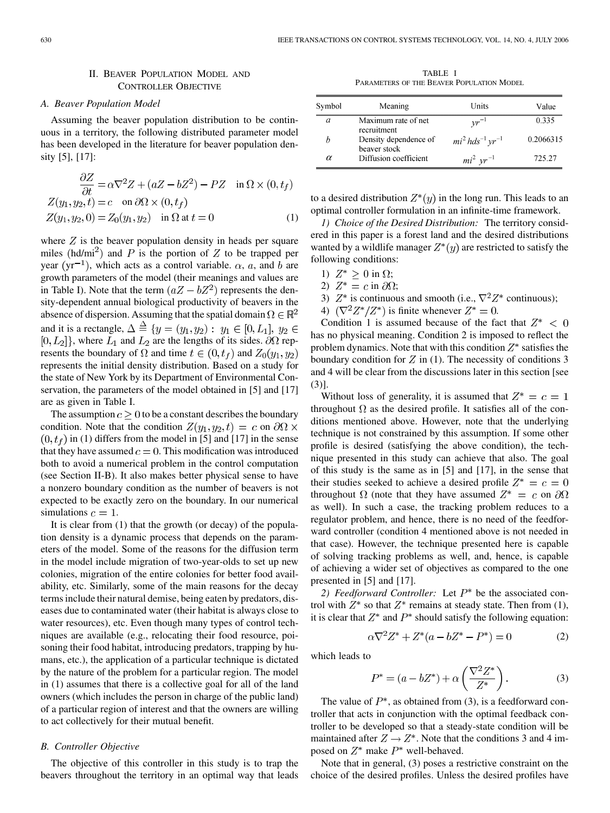## II. BEAVER POPULATION MODEL AND CONTROLLER OBJECTIVE

#### *A. Beaver Population Model*

Assuming the beaver population distribution to be continuous in a territory, the following distributed parameter model has been developed in the literature for beaver population density [\[5](#page-12-0)], [\[17](#page-12-0)]:

$$
\frac{\partial Z}{\partial t} = \alpha \nabla^2 Z + (aZ - bZ^2) - PZ \quad \text{in } \Omega \times (0, t_f)
$$
  
\n
$$
Z(y_1, y_2, t) = c \quad \text{on } \partial \Omega \times (0, t_f)
$$
  
\n
$$
Z(y_1, y_2, 0) = Z_0(y_1, y_2) \quad \text{in } \Omega \text{ at } t = 0 \tag{1}
$$

where  $Z$  is the beaver population density in heads per square miles (hd/mi<sup>2</sup>) and P is the portion of Z to be trapped per year (yr<sup>-1</sup>), which acts as a control variable.  $\alpha$ , a, and b are growth parameters of the model (their meanings and values are in Table I). Note that the term  $(aZ - bZ^2)$  represents the density-dependent annual biological productivity of beavers in the absence of dispersion. Assuming that the spatial domain  $\Omega \in \mathbb{R}^2$ and it is a rectangle,  $\Delta \stackrel{\Delta}{=} \{y = (y_1, y_2) : y_1 \in [0, L_1], y_2 \in$  $[0, L_2]$ , where  $\overline{L_1}$  and  $\overline{L_2}$  are the lengths of its sides.  $\partial\Omega$  represents the boundary of  $\Omega$  and time  $t \in (0, t_f)$  and  $Z_0(y_1, y_2)$ represents the initial density distribution. Based on a study for the state of New York by its Department of Environmental Conservation, the parameters of the model obtained in [\[5](#page-12-0)] and [\[17](#page-12-0)] are as given in Table I.

The assumption  $c > 0$  to be a constant describes the boundary condition. Note that the condition  $Z(y_1, y_2, t) = c$  on  $\partial \Omega \times$  $(0, t_f)$  in (1) differs from the model in [[5\]](#page-12-0) and [[17\]](#page-12-0) in the sense that they have assumed  $c = 0$ . This modification was introduced both to avoid a numerical problem in the control computation (see Section II-B). It also makes better physical sense to have a nonzero boundary condition as the number of beavers is not expected to be exactly zero on the boundary. In our numerical simulations  $c = 1$ .

It is clear from (1) that the growth (or decay) of the population density is a dynamic process that depends on the parameters of the model. Some of the reasons for the diffusion term in the model include migration of two-year-olds to set up new colonies, migration of the entire colonies for better food availability, etc. Similarly, some of the main reasons for the decay terms include their natural demise, being eaten by predators, diseases due to contaminated water (their habitat is always close to water resources), etc. Even though many types of control techniques are available (e.g., relocating their food resource, poisoning their food habitat, introducing predators, trapping by humans, etc.), the application of a particular technique is dictated by the nature of the problem for a particular region. The model in (1) assumes that there is a collective goal for all of the land owners (which includes the person in charge of the public land) of a particular region of interest and that the owners are willing to act collectively for their mutual benefit.

#### *B. Controller Objective*

The objective of this controller in this study is to trap the beavers throughout the territory in an optimal way that leads

TABLE I PARAMETERS OF THE BEAVER POPULATION MODEL

| Symbol | Meaning                               | Units                    | Value     |
|--------|---------------------------------------|--------------------------|-----------|
| а      | Maximum rate of net<br>recruitment    | $vr^{-1}$                | 0.335     |
| h      | Density dependence of<br>beaver stock | $mi^2 h ds^{-1} yr^{-1}$ | 0.2066315 |
| α      | Diffusion coefficient                 | $mi^2$ $yr^{-1}$         | 725 27    |

to a desired distribution  $Z^*(y)$  in the long run. This leads to an optimal controller formulation in an infinite-time framework.

*1) Choice of the Desired Distribution:* The territory considered in this paper is a forest land and the desired distributions wanted by a wildlife manager  $Z^*(y)$  are restricted to satisfy the following conditions:

- 1)  $Z^* \geq 0$  in  $\Omega$ ;
- 2)  $Z^* = c$  in  $\partial\Omega$ ;
- 3)  $Z^*$  is continuous and smooth (i.e.,  $\nabla^2 Z^*$  continuous);
- 4)  $(\nabla^2 Z^*/Z^*)$  is finite whenever  $Z^* = 0$ .

Condition 1 is assumed because of the fact that  $Z^* < 0$ has no physical meaning. Condition 2 is imposed to reflect the problem dynamics. Note that with this condition  $Z^*$  satisfies the boundary condition for  $Z$  in (1). The necessity of conditions 3 and 4 will be clear from the discussions later in this section [see (3)].

Without loss of generality, it is assumed that  $Z^* = c = 1$ throughout  $\Omega$  as the desired profile. It satisfies all of the conditions mentioned above. However, note that the underlying technique is not constrained by this assumption. If some other profile is desired (satisfying the above condition), the technique presented in this study can achieve that also. The goal of this study is the same as in [\[5](#page-12-0)] and [\[17](#page-12-0)], in the sense that their studies seeked to achieve a desired profile  $Z^* = c = 0$ throughout  $\Omega$  (note that they have assumed  $Z^* = c$  on  $\partial \Omega$ as well). In such a case, the tracking problem reduces to a regulator problem, and hence, there is no need of the feedforward controller (condition 4 mentioned above is not needed in that case). However, the technique presented here is capable of solving tracking problems as well, and, hence, is capable of achieving a wider set of objectives as compared to the one presented in [[5\]](#page-12-0) and [\[17](#page-12-0)].

2) Feedforward Controller: Let  $P^*$  be the associated control with  $Z^*$  so that  $Z^*$  remains at steady state. Then from (1), it is clear that  $Z^*$  and  $P^*$  should satisfy the following equation:

$$
\alpha \nabla^2 Z^* + Z^*(a - bZ^* - P^*) = 0 \tag{2}
$$

which leads to

$$
P^* = (a - bZ^*) + \alpha \left(\frac{\nabla^2 Z^*}{Z^*}\right). \tag{3}
$$

The value of  $P^*$ , as obtained from (3), is a feedforward controller that acts in conjunction with the optimal feedback controller to be developed so that a steady-state condition will be maintained after  $Z \rightarrow Z^*$ . Note that the conditions 3 and 4 imposed on  $Z^*$  make  $P^*$  well-behaved.

Note that in general, (3) poses a restrictive constraint on the choice of the desired profiles. Unless the desired profiles have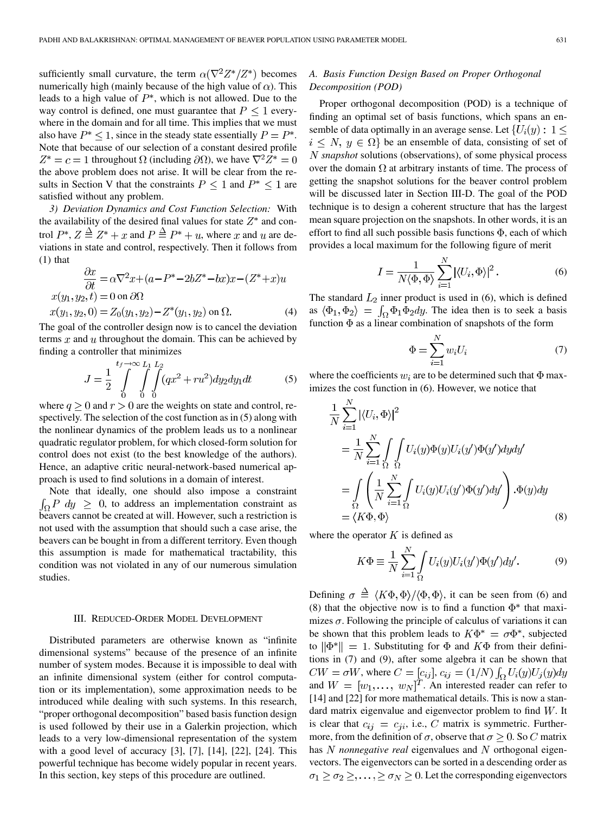sufficiently small curvature, the term  $\alpha(\nabla^2 Z^*/Z^*)$  becomes numerically high (mainly because of the high value of  $\alpha$ ). This leads to a high value of  $P^*$ , which is not allowed. Due to the way control is defined, one must guarantee that  $P \leq 1$  everywhere in the domain and for all time. This implies that we must also have  $P^*$  < 1, since in the steady state essentially  $P = P^*$ . Note that because of our selection of a constant desired profile  $Z^* = c = 1$  throughout  $\Omega$  (including  $\partial \Omega$ ), we have  $\nabla^2 Z^* = 0$ the above problem does not arise. It will be clear from the results in Section V that the constraints  $P \leq 1$  and  $P^* \leq 1$  are satisfied without any problem.

*3) Deviation Dynamics and Cost Function Selection:* With the availability of the desired final values for state  $Z^*$  and control  $P^*$ ,  $Z \stackrel{\Delta}{=} Z^* + x$  and  $P \stackrel{\Delta}{=} P^* + u$ , where x and u are deviations in state and control, respectively. Then it follows from (1) that

$$
\frac{\partial x}{\partial t} = \alpha \nabla^2 x + (a - P^* - 2bZ^* - bx)x - (Z^* + x)u
$$
  

$$
x(y_1, y_2, t) = 0 \text{ on } \partial\Omega
$$
  

$$
x(y_1, y_2, 0) = Z_0(y_1, y_2) - Z^*(y_1, y_2) \text{ on } \Omega.
$$
 (4)

The goal of the controller design now is to cancel the deviation terms  $x$  and  $u$  throughout the domain. This can be achieved by finding a controller that minimizes

$$
J = \frac{1}{2} \int_{0}^{t_f \to \infty} \int_{0}^{L_1} \int_{0}^{L_2} (qx^2 + ru^2) dy_2 dy_1 dt
$$
 (5)

where  $q \ge 0$  and  $r > 0$  are the weights on state and control, respectively. The selection of the cost function as in (5) along with the nonlinear dynamics of the problem leads us to a nonlinear quadratic regulator problem, for which closed-form solution for control does not exist (to the best knowledge of the authors). Hence, an adaptive critic neural-network-based numerical approach is used to find solutions in a domain of interest.

Note that ideally, one should also impose a constraint  $\int_{\Omega} P dy \geq 0$ , to address an implementation constraint as beavers cannot be created at will. However, such a restriction is not used with the assumption that should such a case arise, the beavers can be bought in from a different territory. Even though this assumption is made for mathematical tractability, this condition was not violated in any of our numerous simulation studies.

#### III. REDUCED-ORDER MODEL DEVELOPMENT

Distributed parameters are otherwise known as "infinite dimensional systems" because of the presence of an infinite number of system modes. Because it is impossible to deal with an infinite dimensional system (either for control computation or its implementation), some approximation needs to be introduced while dealing with such systems. In this research, "proper orthogonal decomposition" based basis function design is used followed by their use in a Galerkin projection, which leads to a very low-dimensional representation of the system with a good level of accuracy [[3\]](#page-12-0), [[7\]](#page-12-0), [[14\]](#page-12-0), [[22\]](#page-12-0), [[24\]](#page-12-0). This powerful technique has become widely popular in recent years. In this section, key steps of this procedure are outlined.

## *A. Basis Function Design Based on Proper Orthogonal Decomposition (POD)*

Proper orthogonal decomposition (POD) is a technique of finding an optimal set of basis functions, which spans an ensemble of data optimally in an average sense. Let  ${U_i(y): 1 \leq$  $i \leq N, y \in \Omega$  be an ensemble of data, consisting of set of *snapshot* solutions (observations), of some physical process over the domain  $\Omega$  at arbitrary instants of time. The process of getting the snapshot solutions for the beaver control problem will be discussed later in Section III-D. The goal of the POD technique is to design a coherent structure that has the largest mean square projection on the snapshots. In other words, it is an effort to find all such possible basis functions  $\Phi$ , each of which provides a local maximum for the following figure of merit

$$
I = \frac{1}{N\langle \Phi, \Phi \rangle} \sum_{i=1}^{N} \left| \langle U_i, \Phi \rangle \right|^2.
$$
 (6)

The standard  $L_2$  inner product is used in (6), which is defined as  $\langle \Phi_1, \Phi_2 \rangle = \int_{\Omega} \Phi_1 \Phi_2 dy$ . The idea then is to seek a basis function  $\Phi$  as a linear combination of snapshots of the form

$$
\Phi = \sum_{i=1}^{N} w_i U_i \tag{7}
$$

where the coefficients  $w_i$  are to be determined such that  $\Phi$  maximizes the cost function in (6). However, we notice that

$$
\frac{1}{N} \sum_{i=1}^{N} |\langle U_i, \Phi \rangle|^2
$$
\n
$$
= \frac{1}{N} \sum_{i=1}^{N} \int_{\Omega} \int_{\Omega} U_i(y) \Phi(y) U_i(y') \Phi(y') dy dy'
$$
\n
$$
= \int_{\Omega} \left( \frac{1}{N} \sum_{i=1}^{N} \int_{\Omega} U_i(y) U_i(y') \Phi(y') dy' \right) . \Phi(y) dy
$$
\n
$$
= \langle K \Phi, \Phi \rangle
$$
\n(8)

where the operator  $K$  is defined as

$$
K\Phi \equiv \frac{1}{N} \sum_{i=1}^{N} \int_{\Omega} U_i(y) U_i(y') \Phi(y') dy'. \tag{9}
$$

Defining  $\sigma \triangleq \langle K\Phi, \Phi \rangle / \langle \Phi, \Phi \rangle$ , it can be seen from (6) and (8) that the objective now is to find a function  $\Phi^*$  that maximizes  $\sigma$ . Following the principle of calculus of variations it can be shown that this problem leads to  $K\Phi^* = \sigma \Phi^*$ , subjected to  $\|\Phi^*\| = 1$ . Substituting for  $\Phi$  and  $K\Phi$  from their definitions in (7) and (9), after some algebra it can be shown that  $CW = \sigma W$ , where  $C = [c_{ij}], c_{ij} = (1/N) \int_{\Omega} U_i(y) U_j(y) dy$ and  $W = [w_1, \dots, w_N]^T$ . An interested reader can refer to [\[14](#page-12-0)] and [[22\]](#page-12-0) for more mathematical details. This is now a standard matrix eigenvalue and eigenvector problem to find  $W$ . It is clear that  $c_{ij} = c_{ji}$ , i.e., C matrix is symmetric. Furthermore, from the definition of  $\sigma$ , observe that  $\sigma \geq 0$ . So C matrix has  $N$  *nonnegative real* eigenvalues and  $N$  orthogonal eigenvectors. The eigenvectors can be sorted in a descending order as  $\sigma_1 \geq \sigma_2 \geq \ldots, \geq \sigma_N \geq 0$ . Let the corresponding eigenvectors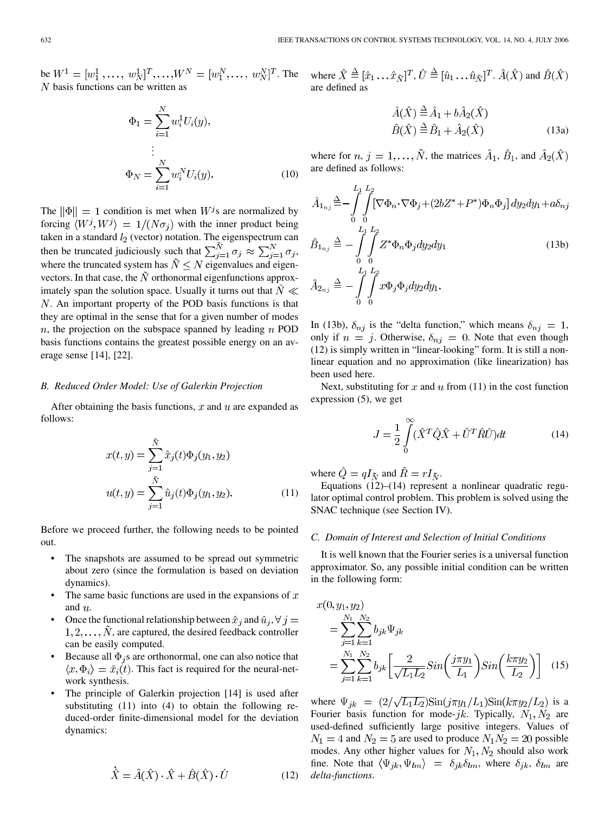be  $W^1 = [w_1^1, \ldots, w_N^1]^T, \ldots, W^N = [w_1^N, \ldots, w_N^N]^T$ . The  $N$  basis functions can be written as

$$
\Phi_1 = \sum_{i=1}^N w_i^1 U_i(y),
$$
  
\n
$$
\vdots
$$
  
\n
$$
\Phi_N = \sum_{i=1}^N w_i^N U_i(y).
$$
 (10)

The  $\|\Phi\| = 1$  condition is met when  $W^j$ s are normalized by forcing  $\langle W^j, W^j \rangle = 1/(N\sigma_i)$  with the inner product being taken in a standard  $l_2$  (vector) notation. The eigenspectrum can then be truncated judiciously such that  $\sum_{j=1}^{\tilde{N}} \sigma_j \approx \sum_{j=1}^N \sigma_j$ , where the truncated system has  $\tilde{N} \leq N$  eigenvalues and eigenvectors. In that case, the  $\tilde{N}$  orthonormal eigenfunctions approximately span the solution space. Usually it turns out that  $\tilde{N} \ll 1$  $N$ . An important property of the POD basis functions is that they are optimal in the sense that for a given number of modes  $n$ , the projection on the subspace spanned by leading  $n$  POD basis functions contains the greatest possible energy on an average sense [[14\]](#page-12-0), [[22\]](#page-12-0).

#### *B. Reduced Order Model: Use of Galerkin Projection*

After obtaining the basis functions,  $x$  and  $u$  are expanded as follows:

$$
x(t,y) = \sum_{j=1}^{\tilde{N}} \hat{x}_j(t)\Phi_j(y_1, y_2)
$$
  

$$
u(t,y) = \sum_{j=1}^{\tilde{N}} \hat{u}_j(t)\Phi_j(y_1, y_2).
$$
 (11)

Before we proceed further, the following needs to be pointed out.

- The snapshots are assumed to be spread out symmetric about zero (since the formulation is based on deviation dynamics).
- The same basic functions are used in the expansions of  $x$ and  $u$ .
- Once the functional relationship between  $\hat{x}_i$  and  $\hat{u}_i$ ,  $\forall j =$  $1, 2, \ldots, N$ , are captured, the desired feedback controller can be easily computed.
- Because all  $\Phi_i$ s are orthonormal, one can also notice that  $\langle x, \Phi_i \rangle = \hat{x}_i(t)$ . This fact is required for the neural-network synthesis.
- The principle of Galerkin projection [[14\]](#page-12-0) is used after substituting (11) into (4) to obtain the following reduced-order finite-dimensional model for the deviation dynamics:

$$
\dot{\hat{X}} = \hat{A}(\hat{X}) \cdot \hat{X} + \hat{B}(\hat{X}) \cdot \hat{U}
$$
 (12)

where  $\hat{X} \stackrel{\Delta}{=} [\hat{x}_1 \dots \hat{x}_{\tilde{N}}]^T$ ,  $\hat{U} \stackrel{\Delta}{=} [\hat{u}_1 \dots \hat{u}_{\tilde{N}}]^T$ .  $\hat{A}(\hat{X})$  and  $\hat{B}(\hat{X})$ are defined as

$$
\hat{A}(\hat{X}) \stackrel{\Delta}{=} \hat{A}_1 + b\hat{A}_2(\hat{X})
$$
  

$$
\hat{B}(\hat{X}) \stackrel{\Delta}{=} \hat{B}_1 + \hat{A}_2(\hat{X})
$$
 (13a)

where for  $n, j = 1, \ldots, \tilde{N}$ , the matrices  $\hat{A}_1$ ,  $\hat{B}_1$ , and  $\hat{A}_2(\hat{X})$ are defined as follows:

$$
\hat{A}_{1_{nj}} \stackrel{\Delta}{=} - \int_{0}^{L_1} \int_{0}^{L_2} [\nabla \Phi_n \cdot \nabla \Phi_j + (2bZ^* + P^*) \Phi_n \Phi_j] dy_2 dy_1 + a\delta_{nj}
$$
\n
$$
\hat{B}_{1_{nj}} \stackrel{\Delta}{=} - \int_{0}^{L_1} \int_{0}^{L_2} Z^* \Phi_n \Phi_j dy_2 dy_1 \qquad (13b)
$$
\n
$$
\hat{A}_{2_{nj}} \stackrel{\Delta}{=} - \int_{0}^{L_1} \int_{0}^{L_2} x \Phi_j \Phi_j dy_2 dy_1.
$$

In (13b),  $\delta_{nj}$  is the "delta function," which means  $\delta_{nj} = 1$ , only if  $n = j$ . Otherwise,  $\delta_{nj} = 0$ . Note that even though (12) is simply written in "linear-looking" form. It is still a nonlinear equation and no approximation (like linearization) has been used here.

Next, substituting for x and u from (11) in the cost function expression (5), we get

$$
J = \frac{1}{2} \int_{0}^{\infty} (\hat{X}^T \hat{Q} \hat{X} + \hat{U}^T \hat{R} \hat{U}) dt
$$
 (14)

where  $\hat{Q} = qI_{\tilde{N}}$  and  $\hat{R} = rI_{\tilde{N}}$ .

Equations (12)–(14) represent a nonlinear quadratic regulator optimal control problem. This problem is solved using the SNAC technique (see Section IV).

#### *C. Domain of Interest and Selection of Initial Conditions*

It is well known that the Fourier series is a universal function approximator. So, any possible initial condition can be written in the following form:

$$
x(0, y_1, y_2)
$$
  
= 
$$
\sum_{j=1}^{N_1} \sum_{k=1}^{N_2} b_{jk} \Psi_{jk}
$$
  
= 
$$
\sum_{j=1}^{N_1} \sum_{k=1}^{N_2} b_{jk} \left[ \frac{2}{\sqrt{L_1 L_2}} Sin\left(\frac{j\pi y_1}{L_1}\right) Sin\left(\frac{k\pi y_2}{L_2}\right) \right]
$$
(15)

where  $\Psi_{jk} = (2/\sqrt{L_1 L_2})\sin(j\pi y_1/L_1)\sin(k\pi y_2/L_2)$  is a Fourier basis function for mode- $jk$ . Typically,  $N_1, N_2$  are used-defined sufficiently large positive integers. Values of  $N_1 = 4$  and  $N_2 = 5$  are used to produce  $N_1 N_2 = 20$  possible modes. Any other higher values for  $N_1, N_2$  should also work fine. Note that  $\langle \Psi_{jk}, \Psi_{lm} \rangle = \delta_{jk} \delta_{lm}$ , where  $\delta_{jk}$ ,  $\delta_{lm}$  are *delta-functions*.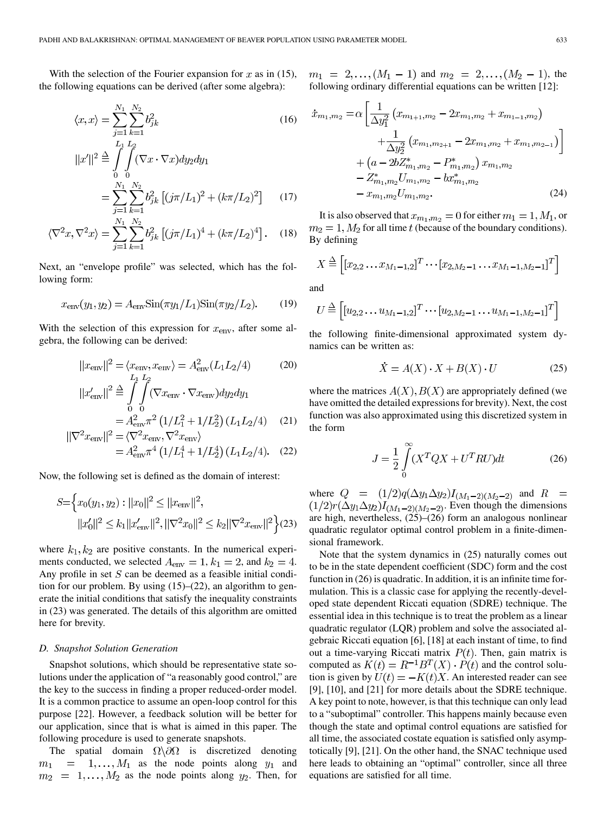With the selection of the Fourier expansion for  $x$  as in (15), the following equations can be derived (after some algebra):

$$
\langle x, x \rangle = \sum_{j=1}^{N_1} \sum_{k=1}^{N_2} b_{jk}^2
$$
 (16)

$$
|x'||^2 \stackrel{\Delta}{=} \int_{0}^{L_1} \int_{0}^{L_2} (\nabla x \cdot \nabla x) dy_2 dy_1
$$
  
= 
$$
\sum_{j=1}^{N_1} \sum_{k=1}^{N_2} b_{jk}^2 \left[ (j\pi/L_1)^2 + (k\pi/L_2)^2 \right]
$$
(17)

$$
\langle \nabla^2 x, \nabla^2 x \rangle = \sum_{j=1}^{N_1} \sum_{k=1}^{N_2} b_{jk}^2 \left[ (j\pi/L_1)^4 + (k\pi/L_2)^4 \right]. \tag{18}
$$

Next, an "envelope profile" was selected, which has the following form:

$$
x_{\rm env}(y_1, y_2) = A_{\rm env} \sin(\pi y_1 / L_1) \sin(\pi y_2 / L_2).
$$
 (19)

With the selection of this expression for  $x_{env}$ , after some algebra, the following can be derived:

$$
||x_{\text{env}}||^2 = \langle x_{\text{env}}, x_{\text{env}} \rangle = A_{\text{env}}^2 (L_1 L_2 / 4)
$$
 (20)  

$$
||x'_{\text{env}}||^2 \stackrel{\Delta}{=} \int_{0}^{L_1} \int_{0}^{L_2} (\nabla x_{\text{env}} \cdot \nabla x_{\text{env}}) dy_2 dy_1
$$

$$
= A_{\text{env}}^2 \pi^2 \left( 1/L_1^2 + 1/L_2^2 \right) (L_1 L_2 / 4) \tag{21}
$$

$$
||\nabla^2 x_{\text{env}}||^2 = \langle \nabla^2 x_{\text{env}}, \nabla^2 x_{\text{env}} \rangle
$$

$$
= A_{\text{env}}^2 \pi^4 \left( 1/L_1^4 + 1/L_2^4 \right) (L_1 L_2 / 4). \quad (22)
$$

Now, the following set is defined as the domain of interest:

$$
S = \left\{ x_0(y_1, y_2) : ||x_0||^2 \le ||x_{\text{env}}||^2, ||x'_0||^2 \le k_1 ||x'_{\text{env}}||^2, ||\nabla^2 x_0||^2 \le k_2 ||\nabla^2 x_{\text{env}}||^2 \right\} (23)
$$

where  $k_1, k_2$  are positive constants. In the numerical experiments conducted, we selected  $A_{env} = 1, k_1 = 2$ , and  $k_2 = 4$ . Any profile in set  $S$  can be deemed as a feasible initial condition for our problem. By using (15)–(22), an algorithm to generate the initial conditions that satisfy the inequality constraints in (23) was generated. The details of this algorithm are omitted here for brevity.

#### *D. Snapshot Solution Generation*

Snapshot solutions, which should be representative state solutions under the application of "a reasonably good control," are the key to the success in finding a proper reduced-order model. It is a common practice to assume an open-loop control for this purpose [\[22](#page-12-0)]. However, a feedback solution will be better for our application, since that is what is aimed in this paper. The following procedure is used to generate snapshots.

The spatial domain  $\Omega \backslash \partial \Omega$  is discretized denoting  $m_1 = 1, \ldots, M_1$  as the node points along  $y_1$  and  $m_2 = 1, \ldots, M_2$  as the node points along  $y_2$ . Then, for  $m_1 = 2, \ldots, (M_1 - 1)$  and  $m_2 = 2, \ldots, (M_2 - 1)$ , the following ordinary differential equations can be written [[12\]](#page-12-0):

$$
\begin{split} \dot{x}_{m_1,m_2} &= \alpha \left[ \frac{1}{\Delta y_1^2} \left( x_{m_{1+1},m_2} - 2x_{m_1,m_2} + x_{m_{1-1},m_2} \right) \right. \\ &\left. + \frac{1}{\Delta y_2^2} \left( x_{m_1,m_{2+1}} - 2x_{m_1,m_2} + x_{m_1,m_{2-1}} \right) \right] \\ &\left. + \left( a - 2b Z_{m_1,m_2}^* - P_{m_1,m_2}^* \right) x_{m_1,m_2} \\ &- Z_{m_1,m_2}^* U_{m_1,m_2} - b x_{m_1,m_2}^* \tag{24} \end{split}
$$

It is also observed that  $x_{m_1, m_2} = 0$  for either  $m_1 = 1, M_1$ , or  $m_2 = 1, M_2$  for all time t (because of the boundary conditions). By defining

$$
X \triangleq \left[ [x_{2,2} \dots x_{M_1-1,2}]^T \cdots [x_{2,M_2-1} \dots x_{M_1-1,M_2-1}]^T \right]
$$

and

$$
U \stackrel{\Delta}{=} \left[ [u_{2,2} \dots u_{M_1-1,2}]^T \cdots [u_{2,M_2-1} \dots u_{M_1-1,M_2-1}]^T \right]
$$

the following finite-dimensional approximated system dynamics can be written as:

$$
\dot{X} = A(X) \cdot X + B(X) \cdot U \tag{25}
$$

where the matrices  $A(X)$ ,  $B(X)$  are appropriately defined (we have omitted the detailed expressions for brevity). Next, the cost function was also approximated using this discretized system in the form

$$
J = \frac{1}{2} \int_{0}^{\infty} (X^T Q X + U^T R U) dt
$$
 (26)

where  $Q = (1/2)q(\Delta y_1 \Delta y_2)I_{(M_1-2)(M_2-2)}$  and  $R =$  $(1/2) r(\Delta y_1 \Delta y_2) I_{(M_1-2)(M_2-2)}$ . Even though the dimensions are high, nevertheless, (25)–(26) form an analogous nonlinear quadratic regulator optimal control problem in a finite-dimensional framework.

Note that the system dynamics in (25) naturally comes out to be in the state dependent coefficient (SDC) form and the cost function in (26) is quadratic. In addition, it is an infinite time formulation. This is a classic case for applying the recently-developed state dependent Riccati equation (SDRE) technique. The essential idea in this technique is to treat the problem as a linear quadratic regulator (LQR) problem and solve the associated algebraic Riccati equation [\[6](#page-12-0)], [\[18](#page-12-0)] at each instant of time, to find out a time-varying Riccati matrix  $P(t)$ . Then, gain matrix is computed as  $K(t) = R^{-1}B^{T}(X) \cdot P(t)$  and the control solution is given by  $U(t) = -K(t)X$ . An interested reader can see [\[9](#page-12-0)], [\[10](#page-12-0)], and [\[21](#page-12-0)] for more details about the SDRE technique. A key point to note, however, is that this technique can only lead to a "suboptimal" controller. This happens mainly because even though the state and optimal control equations are satisfied for all time, the associated costate equation is satisfied only asymptotically [\[9](#page-12-0)], [[21\]](#page-12-0). On the other hand, the SNAC technique used here leads to obtaining an "optimal" controller, since all three equations are satisfied for all time.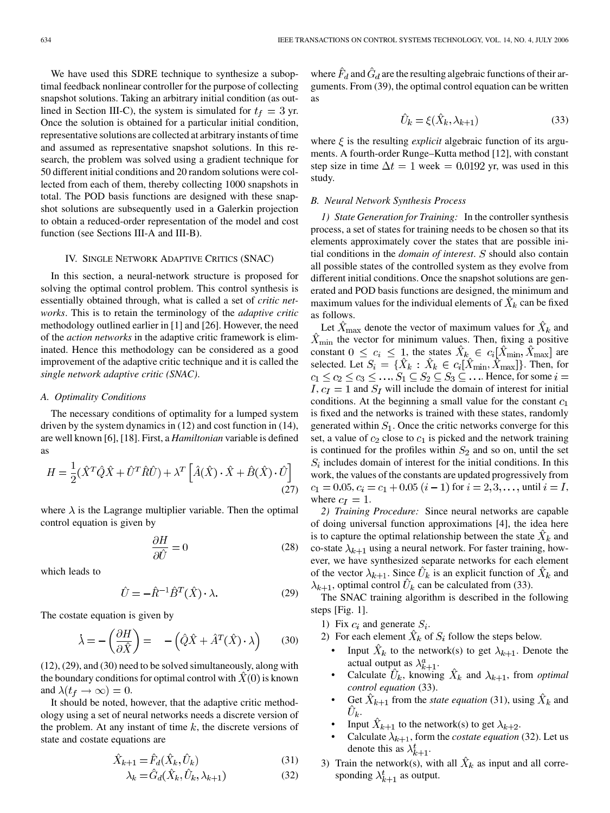We have used this SDRE technique to synthesize a suboptimal feedback nonlinear controller for the purpose of collecting snapshot solutions. Taking an arbitrary initial condition (as outlined in Section III-C), the system is simulated for  $t_f = 3$  yr. Once the solution is obtained for a particular initial condition, representative solutions are collected at arbitrary instants of time and assumed as representative snapshot solutions. In this research, the problem was solved using a gradient technique for 50 different initial conditions and 20 random solutions were collected from each of them, thereby collecting 1000 snapshots in total. The POD basis functions are designed with these snapshot solutions are subsequently used in a Galerkin projection to obtain a reduced-order representation of the model and cost function (see Sections III-A and III-B).

#### IV. SINGLE NETWORK ADAPTIVE CRITICS (SNAC)

In this section, a neural-network structure is proposed for solving the optimal control problem. This control synthesis is essentially obtained through, what is called a set of *critic networks*. This is to retain the terminology of the *adaptive critic* methodology outlined earlier in [[1\]](#page-12-0) and [[26\]](#page-12-0). However, the need of the *action networks* in the adaptive critic framework is eliminated. Hence this methodology can be considered as a good improvement of the adaptive critic technique and it is called the *single network adaptive critic (SNAC)*.

#### *A. Optimality Conditions*

The necessary conditions of optimality for a lumped system driven by the system dynamics in (12) and cost function in (14), are well known [[6\]](#page-12-0), [[18\]](#page-12-0). First, a *Hamiltonian* variable is defined as

$$
H = \frac{1}{2}(\hat{X}^T \hat{Q} \hat{X} + \hat{U}^T \hat{R} \hat{U}) + \lambda^T \left[ \hat{A}(\hat{X}) \cdot \hat{X} + \hat{B}(\hat{X}) \cdot \hat{U} \right]
$$
\n(27)

where  $\lambda$  is the Lagrange multiplier variable. Then the optimal control equation is given by

$$
\frac{\partial H}{\partial \hat{U}} = 0 \tag{28}
$$

which leads to

$$
\hat{U} = -\hat{R}^{-1}\hat{B}^{T}(\hat{X}) \cdot \lambda.
$$
 (29)

The costate equation is given by

$$
\dot{\lambda} = -\left(\frac{\partial H}{\partial \hat{X}}\right) = -\left(\hat{Q}\hat{X} + \hat{A}^T(\hat{X}) \cdot \lambda\right) \tag{30}
$$

(12), (29), and (30) need to be solved simultaneously, along with the boundary conditions for optimal control with  $\ddot{X}(0)$  is known and  $\lambda(t_f \rightarrow \infty) = 0$ .

It should be noted, however, that the adaptive critic methodology using a set of neural networks needs a discrete version of the problem. At any instant of time  $k$ , the discrete versions of state and costate equations are

$$
\ddot{X}_{k+1} = \ddot{F}_d(\dot{X}_k, \dot{U}_k) \tag{31}
$$

$$
\lambda_k = G_d(X_k, U_k, \lambda_{k+1})
$$
\n(32)

where  $\hat{F}_d$  and  $\hat{G}_d$  are the resulting algebraic functions of their arguments. From (39), the optimal control equation can be written as

$$
\hat{U}_k = \xi(\hat{X}_k, \lambda_{k+1})\tag{33}
$$

where  $\xi$  is the resulting *explicit* algebraic function of its arguments. A fourth-order Runge–Kutta method [\[12](#page-12-0)], with constant step size in time  $\Delta t = 1$  week = 0.0192 yr, was used in this study.

#### *B. Neural Network Synthesis Process*

*1) State Generation for Training:* In the controller synthesis process, a set of states for training needs to be chosen so that its elements approximately cover the states that are possible initial conditions in the *domain of interest*. S should also contain all possible states of the controlled system as they evolve from different initial conditions. Once the snapshot solutions are generated and POD basis functions are designed, the minimum and maximum values for the individual elements of  $X_k$  can be fixed as follows.

Let  $\hat{X}_{\text{max}}$  denote the vector of maximum values for  $\hat{X}_k$  and  $\hat{X}_{\text{min}}$  the vector for minimum values. Then, fixing a positive constant  $0 \leq c_i \leq 1$ , the states  $\hat{X}_{k_i} \in c_i[\hat{X}_{\min}, \hat{X}_{\max}]$  are selected. Let  $S_i = \{ \hat{X}_k : \hat{X}_k \in c_i[\hat{X}_{\min}, \hat{X}_{\max}] \}$ . Then, for  $c_1 \leq c_2 \leq c_3 \leq \ldots$ ,  $S_1 \subseteq S_2 \subseteq S_3 \subseteq \ldots$  Hence, for some  $i =$  $I, c_I = 1$  and  $S_I$  will include the domain of interest for initial conditions. At the beginning a small value for the constant  $c_1$ is fixed and the networks is trained with these states, randomly generated within  $S_1$ . Once the critic networks converge for this set, a value of  $c_2$  close to  $c_1$  is picked and the network training is continued for the profiles within  $S_2$  and so on, until the set  $S_i$  includes domain of interest for the initial conditions. In this work, the values of the constants are updated progressively from  $c_1 = 0.05, c_i = c_1 + 0.05 (i - 1)$  for  $i = 2, 3, \dots$ , until  $i = I$ , where  $c_I = 1$ .

*2) Training Procedure:* Since neural networks are capable of doing universal function approximations [\[4](#page-12-0)], the idea here is to capture the optimal relationship between the state  $X_k$  and co-state  $\lambda_{k+1}$  using a neural network. For faster training, however, we have synthesized separate networks for each element of the vector  $\lambda_{k+1}$ . Since  $\hat{U}_k$  is an explicit function of  $\hat{X}_k$  and  $\lambda_{k+1}$ , optimal control  $U_k$  can be calculated from (33).

The SNAC training algorithm is described in the following steps [Fig. 1].

1) Fix  $c_i$  and generate  $S_i$ .

- 2) For each element  $\hat{X}_k$  of  $S_i$  follow the steps below.
	- Input  $\hat{X}_k$  to the network(s) to get  $\lambda_{k+1}$ . Denote the actual output as  $\lambda_{k+1}^a$ .
	- Calculate  $\hat{U}_k$ , knowing  $\hat{X}_k$  and  $\lambda_{k+1}$ , from *optimal control equation* (33).
	- Get  $\hat{X}_{k+1}$  from the *state equation* (31), using  $\hat{X}_k$  and  $U_k$ .
	- Input  $\hat{X}_{k+1}$  to the network(s) to get  $\lambda_{k+2}$ .
	- Calculate  $\lambda_{k+1}$ , form the *costate equation* (32). Let us denote this as  $\lambda_{k+1}^t$ .
- 3) Train the network(s), with all  $\hat{X}_k$  as input and all corresponding  $\lambda_{k+1}^t$  as output.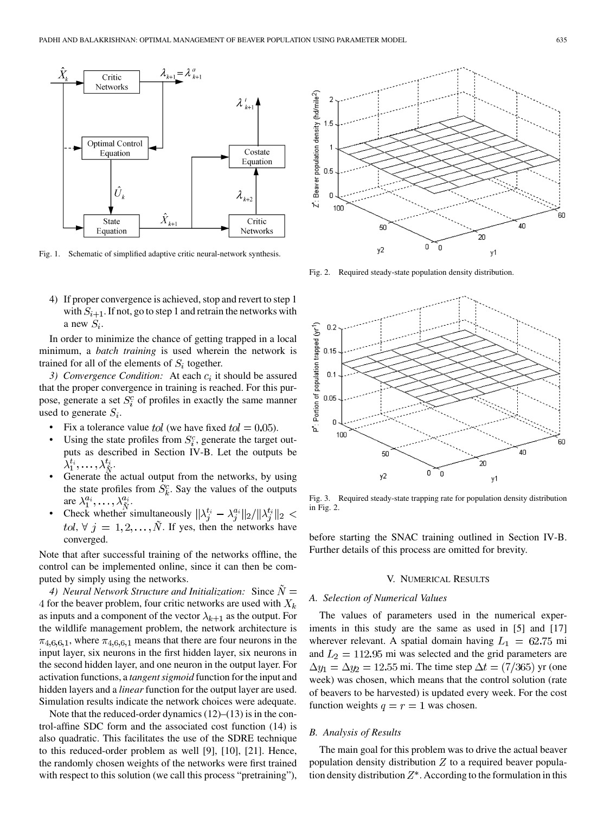

Fig. 1. Schematic of simplified adaptive critic neural-network synthesis.

4) If proper convergence is achieved, stop and revert to step 1 with  $S_{i+1}$ . If not, go to step 1 and retrain the networks with a new  $S_i$ .

In order to minimize the chance of getting trapped in a local minimum, a *batch training* is used wherein the network is trained for all of the elements of  $S_i$  together.

*3) Convergence Condition:* At each  $c_i$  it should be assured that the proper convergence in training is reached. For this purpose, generate a set  $S_i^c$  of profiles in exactly the same manner used to generate  $S_i$ .

- Fix a tolerance value tol (we have fixed to  $l = 0.05$ ).
- Using the state profiles from  $S_i^c$ , generate the target outputs as described in Section IV-B. Let the outputs be  $\lambda_1^{t_i}, \ldots, \lambda_{\tilde{N}'}^{t_i}.$
- Generate the actual output from the networks, by using the state profiles from  $S_k^c$ . Say the values of the outputs are  $\lambda_1^{a_i}, \ldots, \lambda_{\tilde{n}}^{a_i}$ .
- Check whether simultaneously tol,  $\forall$   $j = 1, 2, \ldots, \tilde{N}$ . If yes, then the networks have converged.

Note that after successful training of the networks offline, the control can be implemented online, since it can then be computed by simply using the networks.

4) Neural Network Structure and Initialization: Since  $\tilde{N} =$ 4 for the beaver problem, four critic networks are used with  $X_k$ as inputs and a component of the vector  $\lambda_{k+1}$  as the output. For the wildlife management problem, the network architecture is  $\pi_{4,6,6,1}$ , where  $\pi_{4,6,6,1}$  means that there are four neurons in the input layer, six neurons in the first hidden layer, six neurons in the second hidden layer, and one neuron in the output layer. For activation functions, a *tangent sigmoid* function for the input and hidden layers and a *linear* function for the output layer are used. Simulation results indicate the network choices were adequate.

Note that the reduced-order dynamics  $(12)$ – $(13)$  is in the control-affine SDC form and the associated cost function (14) is also quadratic. This facilitates the use of the SDRE technique to this reduced-order problem as well [[9\]](#page-12-0), [[10\]](#page-12-0), [[21\]](#page-12-0). Hence, the randomly chosen weights of the networks were first trained with respect to this solution (we call this process "pretraining"),



Fig. 2. Required steady-state population density distribution.



Fig. 3. Required steady-state trapping rate for population density distribution in Fig. 2.

before starting the SNAC training outlined in Section IV-B. Further details of this process are omitted for brevity.

#### V. NUMERICAL RESULTS

#### *A. Selection of Numerical Values*

The values of parameters used in the numerical exper-iments in this study are the same as used in [\[5](#page-12-0)] and [[17\]](#page-12-0) wherever relevant. A spatial domain having  $L_1 = 62.75$  mi and  $L_2 = 112.95$  mi was selected and the grid parameters are  $\Delta y_1 = \Delta y_2 = 12.55$  mi. The time step  $\Delta t = (7/365)$  yr (one week) was chosen, which means that the control solution (rate of beavers to be harvested) is updated every week. For the cost function weights  $q = r = 1$  was chosen.

#### *B. Analysis of Results*

The main goal for this problem was to drive the actual beaver population density distribution  $Z$  to a required beaver population density distribution  $Z^*$ . According to the formulation in this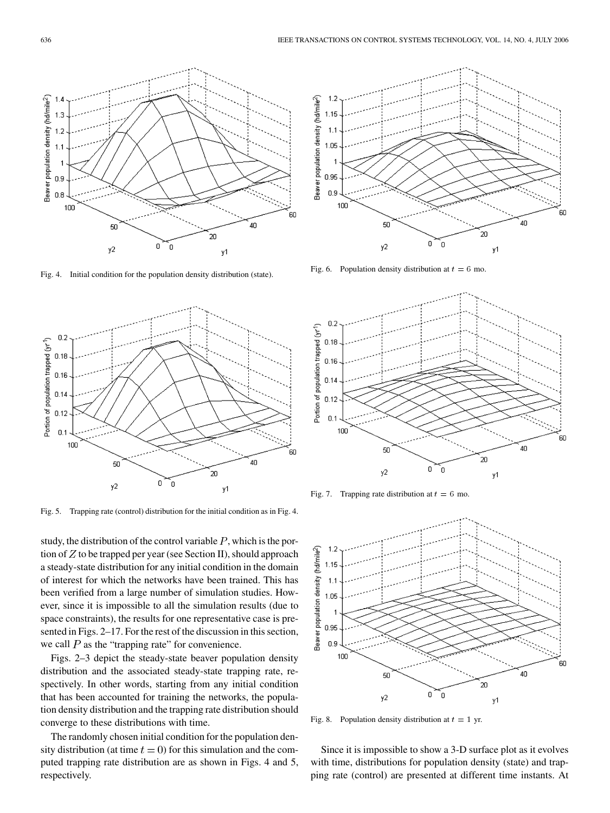

Fig. 4. Initial condition for the population density distribution (state).



Fig. 5. Trapping rate (control) distribution for the initial condition as in Fig. 4.

study, the distribution of the control variable  $P$ , which is the portion of  $Z$  to be trapped per year (see Section II), should approach a steady-state distribution for any initial condition in the domain of interest for which the networks have been trained. This has been verified from a large number of simulation studies. However, since it is impossible to all the simulation results (due to space constraints), the results for one representative case is presented in Figs. 2–17. For the rest of the discussion in this section, we call  $P$  as the "trapping rate" for convenience.

Figs. 2–3 depict the steady-state beaver population density distribution and the associated steady-state trapping rate, respectively. In other words, starting from any initial condition that has been accounted for training the networks, the population density distribution and the trapping rate distribution should converge to these distributions with time.

The randomly chosen initial condition for the population density distribution (at time  $t = 0$ ) for this simulation and the computed trapping rate distribution are as shown in Figs. 4 and 5, respectively.



Fig. 6. Population density distribution at  $t = 6$  mo.



Fig. 7. Trapping rate distribution at  $t = 6$  mo.



Fig. 8. Population density distribution at  $t = 1$  yr.

Since it is impossible to show a 3-D surface plot as it evolves with time, distributions for population density (state) and trapping rate (control) are presented at different time instants. At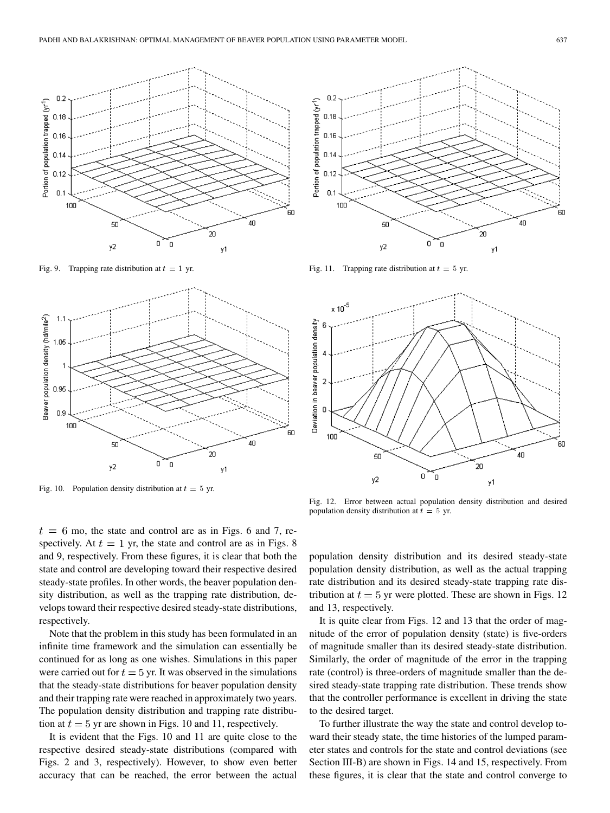

Fig. 9. Trapping rate distribution at  $t = 1$  yr.



Fig. 10. Population density distribution at  $t = 5$  yr.



Fig. 11. Trapping rate distribution at  $t = 5$  yr.



Fig. 12. Error between actual population density distribution and desired population density distribution at  $t = 5$  yr.

 $t = 6$  mo, the state and control are as in Figs. 6 and 7, respectively. At  $t = 1$  yr, the state and control are as in Figs. 8 and 9, respectively. From these figures, it is clear that both the state and control are developing toward their respective desired steady-state profiles. In other words, the beaver population density distribution, as well as the trapping rate distribution, develops toward their respective desired steady-state distributions, respectively.

Note that the problem in this study has been formulated in an infinite time framework and the simulation can essentially be continued for as long as one wishes. Simulations in this paper were carried out for  $t = 5$  yr. It was observed in the simulations that the steady-state distributions for beaver population density and their trapping rate were reached in approximately two years. The population density distribution and trapping rate distribution at  $t = 5$  yr are shown in Figs. 10 and 11, respectively.

It is evident that the Figs. 10 and 11 are quite close to the respective desired steady-state distributions (compared with Figs. 2 and 3, respectively). However, to show even better accuracy that can be reached, the error between the actual

population density distribution and its desired steady-state population density distribution, as well as the actual trapping rate distribution and its desired steady-state trapping rate distribution at  $t = 5$  yr were plotted. These are shown in Figs. 12 and 13, respectively.

It is quite clear from Figs. 12 and 13 that the order of magnitude of the error of population density (state) is five-orders of magnitude smaller than its desired steady-state distribution. Similarly, the order of magnitude of the error in the trapping rate (control) is three-orders of magnitude smaller than the desired steady-state trapping rate distribution. These trends show that the controller performance is excellent in driving the state to the desired target.

To further illustrate the way the state and control develop toward their steady state, the time histories of the lumped parameter states and controls for the state and control deviations (see Section III-B) are shown in Figs. 14 and 15, respectively. From these figures, it is clear that the state and control converge to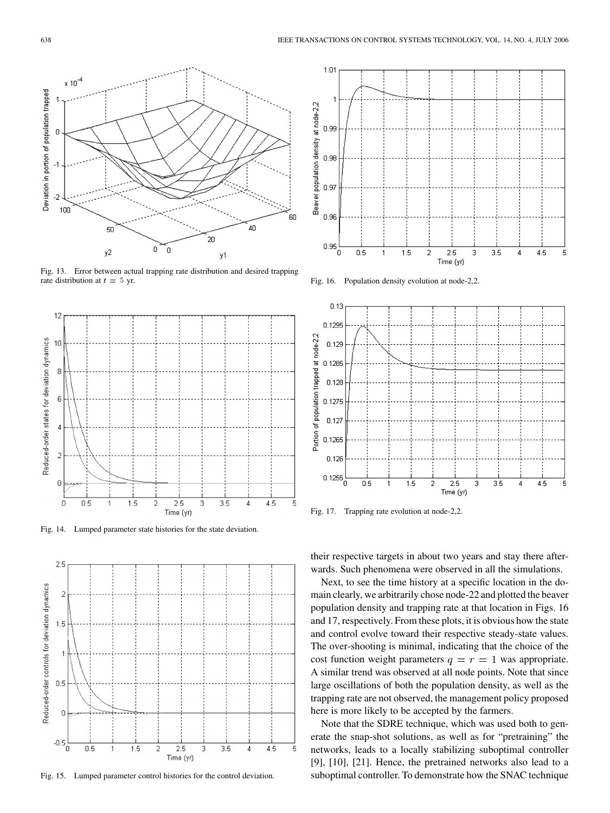

Fig. 13. Error between actual trapping rate distribution and desired trapping rate distribution at  $t = 5$  yr.



Fig. 14. Lumped parameter state histories for the state deviation.



Fig. 15. Lumped parameter control histories for the control deviation.



Fig. 16. Population density evolution at node-2,2.



Fig. 17. Trapping rate evolution at node-2,2.

their respective targets in about two years and stay there afterwards. Such phenomena were observed in all the simulations.

Next, to see the time history at a specific location in the domain clearly, we arbitrarily chose node-22 and plotted the beaver population density and trapping rate at that location in Figs. 16 and 17, respectively. From these plots, it is obvious how the state and control evolve toward their respective steady-state values. The over-shooting is minimal, indicating that the choice of the cost function weight parameters  $q = r = 1$  was appropriate. A similar trend was observed at all node points. Note that since large oscillations of both the population density, as well as the trapping rate are not observed, the management policy proposed here is more likely to be accepted by the farmers.

Note that the SDRE technique, which was used both to generate the snap-shot solutions, as well as for "pretraining" the networks, leads to a locally stabilizing suboptimal controller [[9\]](#page-12-0), [[10\]](#page-12-0), [[21](#page-12-0)]. Hence, the pretrained networks also lead to a suboptimal controller. To demonstrate how the SNAC technique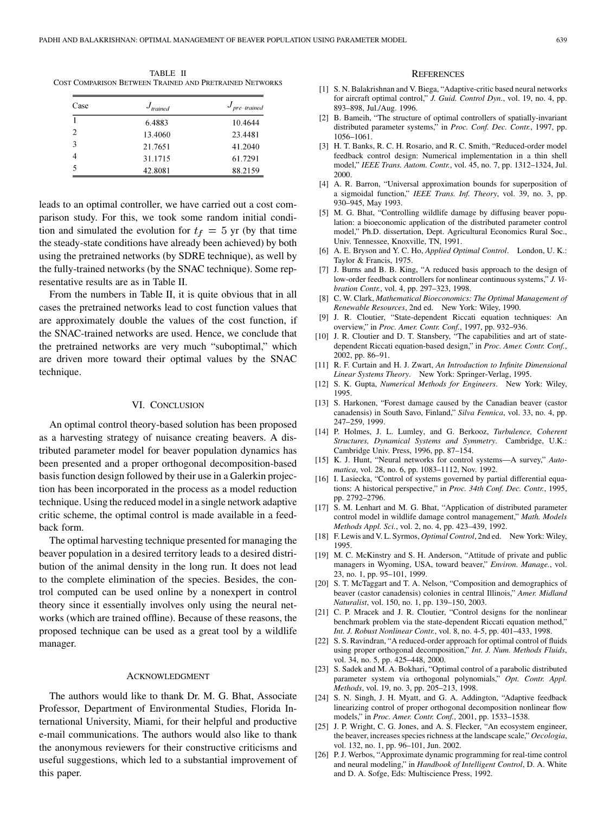<span id="page-12-0"></span>TABLE II COST COMPARISON BETWEEN TRAINED AND PRETRAINED NETWORKS

| Case           | $J_{\text{trained}}$ | $J_{pre-trained}$ |
|----------------|----------------------|-------------------|
|                | 6.4883               | 10.4644           |
| $\overline{2}$ | 13.4060              | 23.4481           |
| 3              | 21.7651              | 41.2040           |
|                | 31.1715              | 61.7291           |
|                | 42.8081              | 88.2159           |

leads to an optimal controller, we have carried out a cost comparison study. For this, we took some random initial condition and simulated the evolution for  $t_f = 5$  yr (by that time the steady-state conditions have already been achieved) by both using the pretrained networks (by SDRE technique), as well by the fully-trained networks (by the SNAC technique). Some representative results are as in Table II.

From the numbers in Table II, it is quite obvious that in all cases the pretrained networks lead to cost function values that are approximately double the values of the cost function, if the SNAC-trained networks are used. Hence, we conclude that the pretrained networks are very much "suboptimal," which are driven more toward their optimal values by the SNAC technique.

#### VI. CONCLUSION

An optimal control theory-based solution has been proposed as a harvesting strategy of nuisance creating beavers. A distributed parameter model for beaver population dynamics has been presented and a proper orthogonal decomposition-based basis function design followed by their use in a Galerkin projection has been incorporated in the process as a model reduction technique. Using the reduced model in a single network adaptive critic scheme, the optimal control is made available in a feedback form.

The optimal harvesting technique presented for managing the beaver population in a desired territory leads to a desired distribution of the animal density in the long run. It does not lead to the complete elimination of the species. Besides, the control computed can be used online by a nonexpert in control theory since it essentially involves only using the neural networks (which are trained offline). Because of these reasons, the proposed technique can be used as a great tool by a wildlife manager.

#### ACKNOWLEDGMENT

The authors would like to thank Dr. M. G. Bhat, Associate Professor, Department of Environmental Studies, Florida International University, Miami, for their helpful and productive e-mail communications. The authors would also like to thank the anonymous reviewers for their constructive criticisms and useful suggestions, which led to a substantial improvement of this paper.

#### **REFERENCES**

- [1] S. N. Balakrishnan and V. Biega, "Adaptive-critic based neural networks for aircraft optimal control," *J. Guid. Control Dyn.*, vol. 19, no. 4, pp. 893–898, Jul./Aug. 1996.
- [2] B. Bameih, "The structure of optimal controllers of spatially-invariant distributed parameter systems," in *Proc. Conf. Dec. Contr.*, 1997, pp. 1056–1061.
- [3] H. T. Banks, R. C. H. Rosario, and R. C. Smith, "Reduced-order model feedback control design: Numerical implementation in a thin shell model," *IEEE Trans. Autom. Contr.*, vol. 45, no. 7, pp. 1312–1324, Jul. 2000.
- [4] A. R. Barron, "Universal approximation bounds for superposition of a sigmoidal function," *IEEE Trans. Inf. Theory*, vol. 39, no. 3, pp. 930–945, May 1993.
- [5] M. G. Bhat, "Controlling wildlife damage by diffusing beaver population: a bioeconomic application of the distributed parameter control model," Ph.D. dissertation, Dept. Agricultural Economics Rural Soc., Univ. Tennessee, Knoxville, TN, 1991.
- [6] A. E. Bryson and Y. C. Ho, *Applied Optimal Control*. London, U. K.: Taylor & Francis, 1975.
- [7] J. Burns and B. B. King, "A reduced basis approach to the design of low-order feedback controllers for nonlinear continuous systems," *J. Vibration Contr.*, vol. 4, pp. 297–323, 1998.
- [8] C. W. Clark, *Mathematical Bioeconomics: The Optimal Management of Renewable Resources*, 2nd ed. New York: Wiley, 1990.
- [9] J. R. Cloutier, "State-dependent Riccati equation techniques: An overview," in *Proc. Amer. Contr. Conf.*, 1997, pp. 932–936.
- [10] J. R. Cloutier and D. T. Stansbery, "The capabilities and art of statedependent Riccati equation-based design," in *Proc. Amer. Contr. Conf.*, 2002, pp. 86–91.
- [11] R. F. Curtain and H. J. Zwart, *An Introduction to Infinite Dimensional Linear Systems Theory*. New York: Springer-Verlag, 1995.
- [12] S. K. Gupta, *Numerical Methods for Engineers*. New York: Wiley, 1995.
- [13] S. Harkonen, "Forest damage caused by the Canadian beaver (castor canadensis) in South Savo, Finland," *Silva Fennica*, vol. 33, no. 4, pp. 247–259, 1999.
- [14] P. Holmes, J. L. Lumley, and G. Berkooz, *Turbulence, Coherent Structures, Dynamical Systems and Symmetry*. Cambridge, U.K.: Cambridge Univ. Press, 1996, pp. 87–154.
- [15] K. J. Hunt, "Neural networks for control systems—A survey," *Automatica*, vol. 28, no. 6, pp. 1083–1112, Nov. 1992.
- [16] I. Lasiecka, "Control of systems governed by partial differential equations: A historical perspective," in *Proc. 34th Conf. Dec. Contr.*, 1995, pp. 2792–2796.
- [17] S. M. Lenhart and M. G. Bhat, "Application of distributed parameter control model in wildlife damage control management," *Math. Models Methods Appl. Sci.*, vol. 2, no. 4, pp. 423–439, 1992.
- [18] F. Lewis and V. L. Syrmos, *Optimal Control*, 2nd ed. New York: Wiley, 1995.
- [19] M. C. McKinstry and S. H. Anderson, "Attitude of private and public managers in Wyoming, USA, toward beaver," *Environ. Manage.*, vol. 23, no. 1, pp. 95–101, 1999.
- [20] S. T. McTaggart and T. A. Nelson, "Composition and demographics of beaver (castor canadensis) colonies in central Illinois," *Amer. Midland Naturalist*, vol. 150, no. 1, pp. 139–150, 2003.
- [21] C. P. Mracek and J. R. Cloutier, "Control designs for the nonlinear benchmark problem via the state-dependent Riccati equation method," *Int. J. Robust Nonlinear Contr.*, vol. 8, no. 4-5, pp. 401–433, 1998.
- [22] S. S. Ravindran, "A reduced-order approach for optimal control of fluids using proper orthogonal decomposition," *Int. J. Num. Methods Fluids*, vol. 34, no. 5, pp. 425–448, 2000.
- [23] S. Sadek and M. A. Bokhari, "Optimal control of a parabolic distributed parameter system via orthogonal polynomials," *Opt. Contr. Appl. Methods*, vol. 19, no. 3, pp. 205–213, 1998.
- [24] S. N. Singh, J. H. Myatt, and G. A. Addington, "Adaptive feedback linearizing control of proper orthogonal decomposition nonlinear flow models," in *Proc. Amer. Contr. Conf.*, 2001, pp. 1533–1538.
- [25] J. P. Wright, C. G. Jones, and A. S. Flecker, "An ecosystem engineer, the beaver, increases species richness at the landscape scale," *Oecologia*, vol. 132, no. 1, pp. 96–101, Jun. 2002.
- [26] P. J. Werbos, "Approximate dynamic programming for real-time control and neural modeling," in *Handbook of Intelligent Control*, D. A. White and D. A. Sofge, Eds: Multiscience Press, 1992.